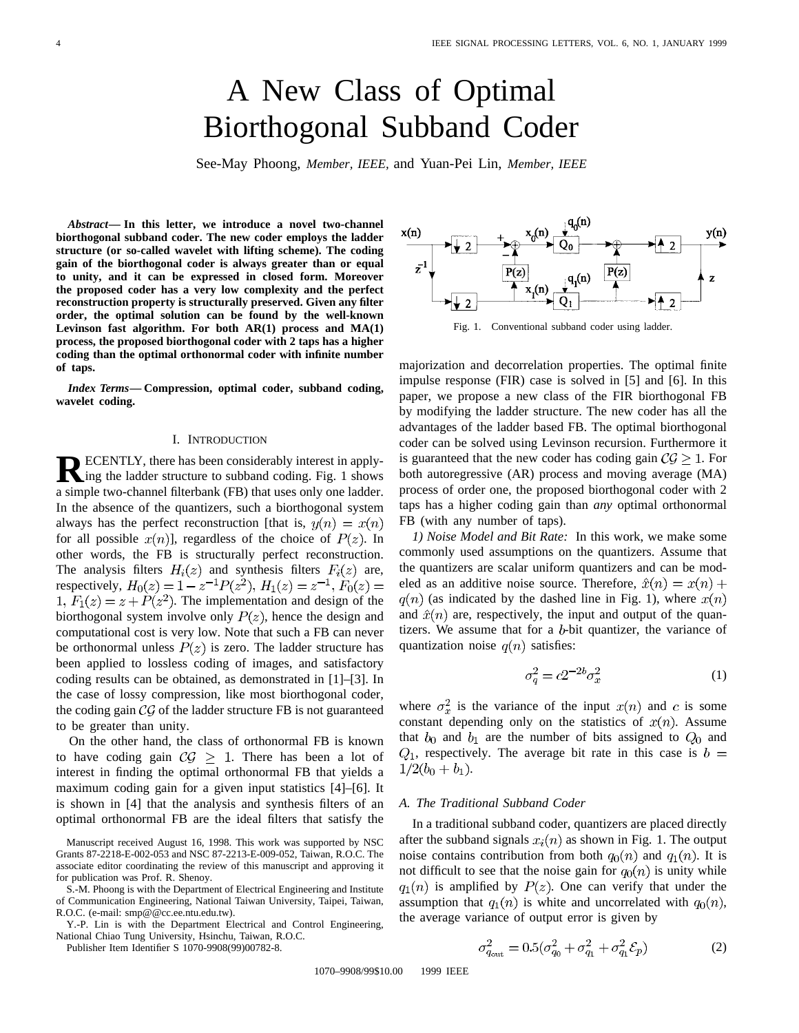# A New Class of Optimal Biorthogonal Subband Coder

See-May Phoong, *Member, IEEE,* and Yuan-Pei Lin, *Member, IEEE*

*Abstract—* **In this letter, we introduce a novel two-channel biorthogonal subband coder. The new coder employs the ladder structure (or so-called wavelet with lifting scheme). The coding gain of the biorthogonal coder is always greater than or equal to unity, and it can be expressed in closed form. Moreover the proposed coder has a very low complexity and the perfect reconstruction property is structurally preserved. Given any filter order, the optimal solution can be found by the well-known Levinson fast algorithm. For both AR(1) process and MA(1) process, the proposed biorthogonal coder with 2 taps has a higher coding than the optimal orthonormal coder with infinite number of taps.**

*Index Terms—* **Compression, optimal coder, subband coding, wavelet coding.**

#### I. INTRODUCTION

**RECENTLY**, there has been considerably interest in applying the ladder structure to subband coding. Fig. 1 shows a simple two-channel filterbank (FB) that uses only one ladder. In the absence of the quantizers, such a biorthogonal system always has the perfect reconstruction [that is,  $y(n) = x(n)$ ] for all possible  $x(n)$ , regardless of the choice of  $P(z)$ . In other words, the FB is structurally perfect reconstruction. The analysis filters  $H_i(z)$  and synthesis filters  $F_i(z)$  are, respectively,  $H_0(z) = 1 - z^{-1} P(z^2)$ ,  $H_1(z) = z^{-1}$ ,  $F_0(z) =$ 1,  $F_1(z) = z + P(z^2)$ . The implementation and design of the biorthogonal system involve only  $P(z)$ , hence the design and computational cost is very low. Note that such a FB can never be orthonormal unless  $P(z)$  is zero. The ladder structure has been applied to lossless coding of images, and satisfactory coding results can be obtained, as demonstrated in [1]–[3]. In the case of lossy compression, like most biorthogonal coder, the coding gain  $\mathcal{CG}$  of the ladder structure FB is not guaranteed to be greater than unity.

On the other hand, the class of orthonormal FB is known to have coding gain  $C\mathcal{G} \geq 1$ . There has been a lot of interest in finding the optimal orthonormal FB that yields a maximum coding gain for a given input statistics [4]–[6]. It is shown in [4] that the analysis and synthesis filters of an optimal orthonormal FB are the ideal filters that satisfy the

Manuscript received August 16, 1998. This work was supported by NSC Grants 87-2218-E-002-053 and NSC 87-2213-E-009-052, Taiwan, R.O.C. The associate editor coordinating the review of this manuscript and approving it for publication was Prof. R. Shenoy.

S.-M. Phoong is with the Department of Electrical Engineering and Institute of Communication Engineering, National Taiwan University, Taipei, Taiwan, R.O.C. (e-mail: smp@@cc.ee.ntu.edu.tw).

Y.-P. Lin is with the Department Electrical and Control Engineering, National Chiao Tung University, Hsinchu, Taiwan, R.O.C.

Publisher Item Identifier S 1070-9908(99)00782-8.



Fig. 1. Conventional subband coder using ladder.

majorization and decorrelation properties. The optimal finite impulse response (FIR) case is solved in [5] and [6]. In this paper, we propose a new class of the FIR biorthogonal FB by modifying the ladder structure. The new coder has all the advantages of the ladder based FB. The optimal biorthogonal coder can be solved using Levinson recursion. Furthermore it is guaranteed that the new coder has coding gain  $C\mathcal{G} \geq 1$ . For both autoregressive (AR) process and moving average (MA) process of order one, the proposed biorthogonal coder with 2 taps has a higher coding gain than *any* optimal orthonormal FB (with any number of taps).

*1) Noise Model and Bit Rate:* In this work, we make some commonly used assumptions on the quantizers. Assume that the quantizers are scalar uniform quantizers and can be modeled as an additive noise source. Therefore,  $\hat{x}(n) = x(n) +$  $q(n)$  (as indicated by the dashed line in Fig. 1), where  $x(n)$ and  $\hat{x}(n)$  are, respectively, the input and output of the quantizers. We assume that for a  $b$ -bit quantizer, the variance of quantization noise  $q(n)$  satisfies:

$$
\sigma_q^2 = c2^{-2b}\sigma_x^2\tag{1}
$$

where  $\sigma_x^2$  is the variance of the input  $x(n)$  and c is some constant depending only on the statistics of  $x(n)$ . Assume that  $b_0$  and  $b_1$  are the number of bits assigned to  $Q_0$  and  $Q_1$ , respectively. The average bit rate in this case is  $b =$  $1/2(b_0 + b_1)$ .

# *A. The Traditional Subband Coder*

In a traditional subband coder, quantizers are placed directly after the subband signals  $x_i(n)$  as shown in Fig. 1. The output noise contains contribution from both  $q_0(n)$  and  $q_1(n)$ . It is not difficult to see that the noise gain for  $q_0(n)$  is unity while  $q_1(n)$  is amplified by  $P(z)$ . One can verify that under the assumption that  $q_1(n)$  is white and uncorrelated with  $q_0(n)$ , the average variance of output error is given by

$$
\sigma_{q_{\text{out}}}^2 = 0.5(\sigma_{q_0}^2 + \sigma_{q_1}^2 + \sigma_{q_1}^2 \mathcal{E}_p)
$$
 (2)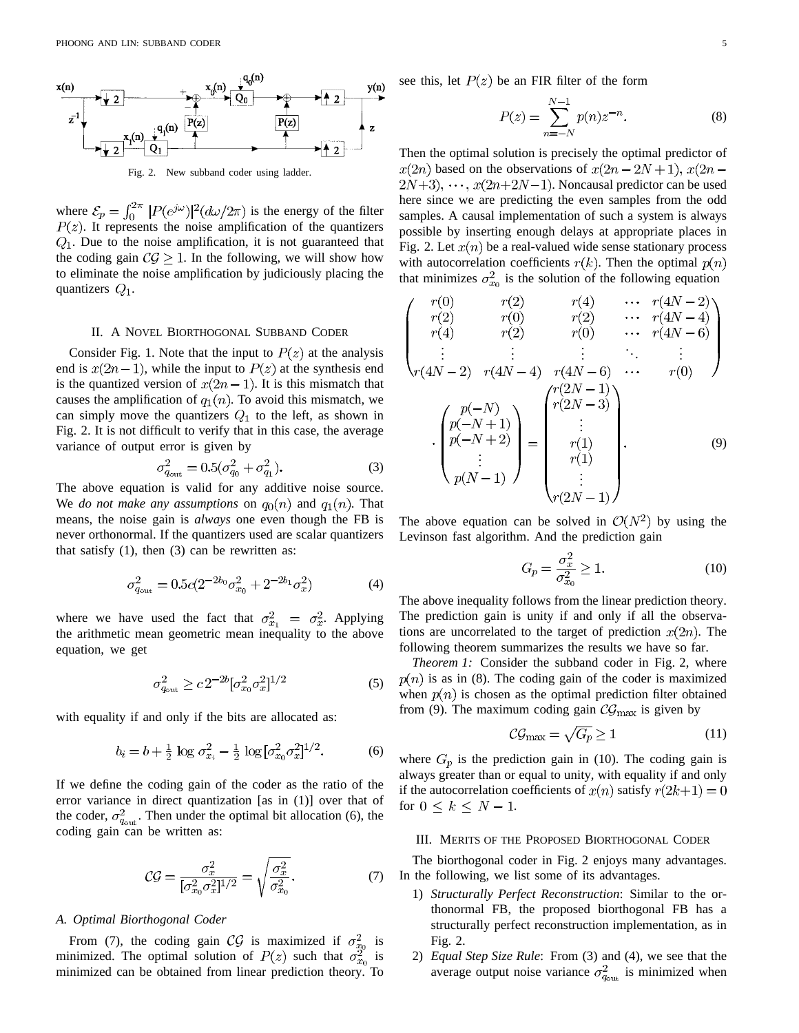

Fig. 2. New subband coder using ladder.

where  $\mathcal{E}_p = \int_0^{2\pi} |P(e^{j\omega})|^2 (d\omega/2\pi)$  is the energy of the filter . It represents the noise amplification of the quantizers  $Q_1$ . Due to the noise amplification, it is not guaranteed that the coding gain  $C\mathcal{G} \geq 1$ . In the following, we will show how to eliminate the noise amplification by judiciously placing the quantizers  $Q_1$ .

#### II. A NOVEL BIORTHOGONAL SUBBAND CODER

Consider Fig. 1. Note that the input to  $P(z)$  at the analysis end is  $x(2n-1)$ , while the input to  $P(z)$  at the synthesis end is the quantized version of  $x(2n-1)$ . It is this mismatch that causes the amplification of  $q_1(n)$ . To avoid this mismatch, we can simply move the quantizers  $Q_1$  to the left, as shown in Fig. 2. It is not difficult to verify that in this case, the average variance of output error is given by

$$
\sigma_{q_{\text{out}}}^2 = 0.5(\sigma_{q_0}^2 + \sigma_{q_1}^2). \tag{3}
$$

The above equation is valid for any additive noise source. We *do not make any assumptions* on  $q_0(n)$  and  $q_1(n)$ . That means, the noise gain is *always* one even though the FB is never orthonormal. If the quantizers used are scalar quantizers that satisfy  $(1)$ , then  $(3)$  can be rewritten as:

$$
\sigma_{q_{\text{out}}}^2 = 0.5c(2^{-2b_0}\sigma_{x_0}^2 + 2^{-2b_1}\sigma_x^2)
$$
 (4)

where we have used the fact that  $\sigma_{x_1}^2 = \sigma_x^2$ . Applying the arithmetic mean geometric mean inequality to the above equation, we get

$$
\sigma_{q_{\text{out}}}^2 \ge c \, 2^{-2b} [\sigma_{x_0}^2 \sigma_x^2]^{1/2} \tag{5}
$$

with equality if and only if the bits are allocated as:

$$
b_i = b + \frac{1}{2} \log \sigma_{x_i}^2 - \frac{1}{2} \log [\sigma_{x_0}^2 \sigma_x^2]^{1/2}.
$$
 (6)

If we define the coding gain of the coder as the ratio of the error variance in direct quantization [as in (1)] over that of the coder,  $\sigma_{q_{\text{out}}}^2$ . Then under the optimal bit allocation (6), the coding gain can be written as:

$$
\mathcal{CG} = \frac{\sigma_x^2}{[\sigma_{x_0}^2 \sigma_x^2]^{1/2}} = \sqrt{\frac{\sigma_x^2}{\sigma_{x_0}^2}}.\tag{7}
$$

### *A. Optimal Biorthogonal Coder*

From (7), the coding gain CG is maximized if  $\sigma_{x_0}^2$  is minimized. The optimal solution of  $P(z)$  such that  $\sigma_{x_0}^2$  is minimized can be obtained from linear prediction theory. To see this, let  $P(z)$  be an FIR filter of the form

$$
P(z) = \sum_{n=-N}^{N-1} p(n) z^{-n}.
$$
 (8)

Then the optimal solution is precisely the optimal predictor of  $x(2n)$  based on the observations of  $x(2n-2N+1), x(2n 2N+3$ ,  $\cdots$ ,  $x(2n+2N-1)$ . Noncausal predictor can be used here since we are predicting the even samples from the odd samples. A causal implementation of such a system is always possible by inserting enough delays at appropriate places in Fig. 2. Let  $x(n)$  be a real-valued wide sense stationary process with autocorrelation coefficients  $r(k)$ . Then the optimal  $p(n)$ that minimizes  $\sigma_{x_0}^2$  is the solution of the following equation

$$
\begin{pmatrix}\nr(0) & r(2) & r(4) & \cdots & r(4N-2) \\
r(2) & r(0) & r(2) & \cdots & r(4N-4) \\
r(4) & r(2) & r(0) & \cdots & r(4N-6) \\
\vdots & \vdots & \vdots & \ddots & \vdots \\
r(4N-2) & r(4N-4) & r(4N-6) & \cdots & r(0)\n\end{pmatrix}
$$
\n
$$
\cdot \begin{pmatrix}\np(-N) \\
p(-N+1) \\
p(-N+2) \\
\vdots \\
p(N-1)\n\end{pmatrix} = \begin{pmatrix}\nr(2N-1) \\
r(2N-3) \\
\vdots \\
r(1) \\
r(1) \\
\vdots \\
r(2N-1)\n\end{pmatrix}.
$$
\n(9)

The above equation can be solved in  $\mathcal{O}(N^2)$  by using the Levinson fast algorithm. And the prediction gain

$$
G_p = \frac{\sigma_x^2}{\sigma_{x_0}^2} \ge 1.
$$
\n<sup>(10)</sup>

The above inequality follows from the linear prediction theory. The prediction gain is unity if and only if all the observations are uncorrelated to the target of prediction  $x(2n)$ . The following theorem summarizes the results we have so far.

*Theorem 1:* Consider the subband coder in Fig. 2, where  $p(n)$  is as in (8). The coding gain of the coder is maximized when  $p(n)$  is chosen as the optimal prediction filter obtained from (9). The maximum coding gain  $\mathcal{CG}_{\text{max}}$  is given by

$$
C\mathcal{G}_{\max} = \sqrt{G_p} \ge 1\tag{11}
$$

where  $G_p$  is the prediction gain in (10). The coding gain is always greater than or equal to unity, with equality if and only if the autocorrelation coefficients of  $x(n)$  satisfy  $r(2k+1) = 0$ for  $0 \leq k \leq N-1$ .

#### III. MERITS OF THE PROPOSED BIORTHOGONAL CODER

The biorthogonal coder in Fig. 2 enjoys many advantages. In the following, we list some of its advantages.

- 1) *Structurally Perfect Reconstruction*: Similar to the orthonormal FB, the proposed biorthogonal FB has a structurally perfect reconstruction implementation, as in Fig. 2.
- 2) *Equal Step Size Rule*: From (3) and (4), we see that the average output noise variance  $\sigma_{q_{\text{out}}}^2$  is minimized when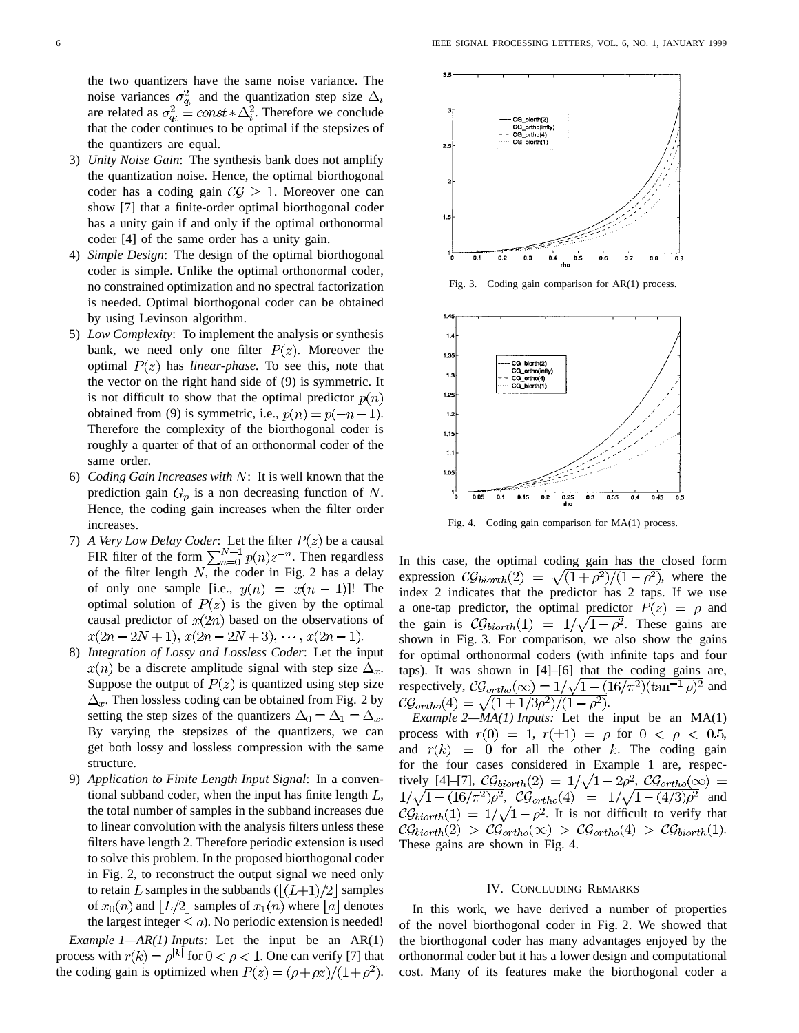the two quantizers have the same noise variance. The noise variances  $\sigma_{q_i}^2$  and the quantization step size  $\Delta_i$ are related as  $\sigma_{q_i}^2 = const * \Delta_i^2$ . Therefore we conclude that the coder continues to be optimal if the stepsizes of the quantizers are equal.

- 3) *Unity Noise Gain*: The synthesis bank does not amplify the quantization noise. Hence, the optimal biorthogonal coder has a coding gain  $C\mathcal{G} \geq 1$ . Moreover one can show [7] that a finite-order optimal biorthogonal coder has a unity gain if and only if the optimal orthonormal coder [4] of the same order has a unity gain.
- 4) *Simple Design*: The design of the optimal biorthogonal coder is simple. Unlike the optimal orthonormal coder, no constrained optimization and no spectral factorization is needed. Optimal biorthogonal coder can be obtained by using Levinson algorithm.
- 5) *Low Complexity*: To implement the analysis or synthesis bank, we need only one filter  $P(z)$ . Moreover the optimal  $P(z)$  has *linear-phase*. To see this, note that the vector on the right hand side of (9) is symmetric. It is not difficult to show that the optimal predictor  $p(n)$ obtained from (9) is symmetric, i.e.,  $p(n) = p(-n-1)$ . Therefore the complexity of the biorthogonal coder is roughly a quarter of that of an orthonormal coder of the same order.
- 6) *Coding Gain Increases with*  $N$ : It is well known that the prediction gain  $G_p$  is a non decreasing function of N. Hence, the coding gain increases when the filter order increases.
- 7) *A Very Low Delay Coder*: Let the filter  $P(z)$  be a causal FIR filter of the form  $\sum_{n=0}^{N-1} p(n)z^{-n}$ . Then regardless of the filter length  $N$ , the coder in Fig. 2 has a delay of only one sample [i.e.,  $y(n) = x(n - 1)!$ ]. The optimal solution of  $P(z)$  is the given by the optimal causal predictor of  $x(2n)$  based on the observations of  $x(2n-2N+1), x(2n-2N+3), \cdots, x(2n-1).$
- 8) *Integration of Lossy and Lossless Coder*: Let the input  $x(n)$  be a discrete amplitude signal with step size  $\Delta_x$ . Suppose the output of  $P(z)$  is quantized using step size  $\Delta_x$ . Then lossless coding can be obtained from Fig. 2 by setting the step sizes of the quantizers  $\Delta_0 = \Delta_1 = \Delta_x$ . By varying the stepsizes of the quantizers, we can get both lossy and lossless compression with the same structure.
- 9) *Application to Finite Length Input Signal*: In a conventional subband coder, when the input has finite length  $L$ , the total number of samples in the subband increases due to linear convolution with the analysis filters unless these filters have length 2. Therefore periodic extension is used to solve this problem. In the proposed biorthogonal coder in Fig. 2, to reconstruct the output signal we need only to retain L samples in the subbands  $(|(L+1)/2|)$  samples of  $x_0(n)$  and  $|L/2|$  samples of  $x_1(n)$  where  $|a|$  denotes the largest integer  $\leq a$ ). No periodic extension is needed!

*Example 1—AR(1) Inputs:* Let the input be an AR(1) process with  $r(k) = \rho^{|k|}$  for  $0 < \rho < 1$ . One can verify [7] that the coding gain is optimized when  $P(z) = (\rho + \rho z)/(1 + \rho^2)$ .



Fig. 3. Coding gain comparison for AR(1) process.



Fig. 4. Coding gain comparison for MA(1) process.

In this case, the optimal coding gain has the closed form expression  $C\mathcal{G}_{biorth}(2) = \sqrt{(1+\rho^2)/(1-\rho^2)}$ , where the index 2 indicates that the predictor has 2 taps. If we use a one-tap predictor, the optimal predictor  $P(z) = \rho$  and the gain is  $\mathcal{CG}_{biorth}(1) = 1/\sqrt{1-\rho^2}$ . These gains are shown in Fig. 3. For comparison, we also show the gains for optimal orthonormal coders (with infinite taps and four taps). It was shown in [4]–[6] that the coding gains are, respectively,  $C\mathcal{G}_{ortho}(\infty) = 1/\sqrt{1-(16/\pi^2)(\tan^{-1}\rho)^2}$  and .

*Example 2—MA(1) Inputs:* Let the input be an MA(1) process with  $r(0) = 1$ ,  $r(\pm 1) = \rho$  for  $0 < \rho < 0.5$ , and  $r(k) = 0$  for all the other k. The coding gain for the four cases considered in Example 1 are, respectively [4]–[7],  $C\mathcal{G}_{biorth}(2) = 1/\sqrt{1-2\rho^2}$ ,  $C\mathcal{G}_{ortho}(\infty) =$  $1/\sqrt{1-(16/\pi^2)\rho^2}$ ,  $C\mathcal{G}_{ortho}(4) = 1/\sqrt{1-(4/3)\rho^2}$  and  $\mathcal{CG}_{biorth}(1) = 1/\sqrt{1-\rho^2}$ . It is not difficult to verify that  $\mathcal{CG}_{biorth}(2) > \mathcal{CG}_{ortho}(\infty) > \mathcal{CG}_{ortho}(4) > \mathcal{CG}_{biorth}(1).$ These gains are shown in Fig. 4.

## IV. CONCLUDING REMARKS

In this work, we have derived a number of properties of the novel biorthogonal coder in Fig. 2. We showed that the biorthogonal coder has many advantages enjoyed by the orthonormal coder but it has a lower design and computational cost. Many of its features make the biorthogonal coder a